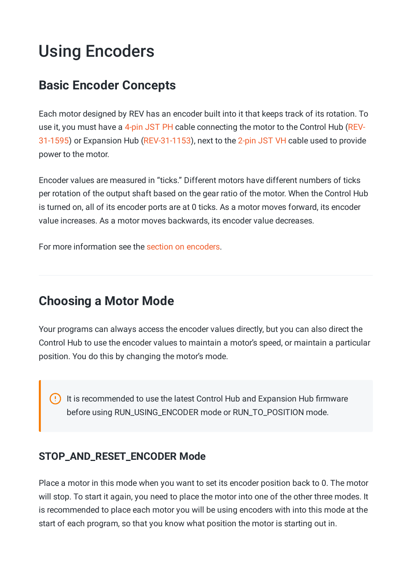# Using Encoders

### **Basic Encoder Concepts**

Each motor designed by REV has an encoder built into it that keeps track of its rotation. To use it, you must have a 4-pin JST PH cable connecting the motor to the Control Hub (REV-31-1595) or Expansion Hub [\(REV-31-1153\),](https://www.revrobotics.com/rev-31-1595/) next to the 2-pin JST VH cable used to provide power to the motor.

Encoder values are measured in "ticks." Different motors have different numbers of ticks per rotation of the output shaft based on the gear ratio of the motor. When the Control Hub is turned on, all of its encoder ports are at 0 ticks. As a motor moves forward, its encoder value increases. As a motor moves backwards, its encoder value decreases.

For more information see the section on encoders.

### **Choosing a Motor Mode**

Your programs can always access the encoder values directly, but you can also direct the Control Hub to use the encoder values to maintain a motor's speed, or maintain a particular position. You do this by changing the motor's mode.

It is recommended to use the latest Control Hub and Expansion Hub firmware before using RUN\_USING\_ENCODER mode or RUN\_TO\_POSITION mode.

### **STOP\_AND\_RESET\_ENCODER Mode**

Place a motor in this mode when you want to set its encoder position back to 0. The motor will stop. To start it again, you need to place the motor into one of the other three modes. It is recommended to place each motor you will be using encoders with into this mode at the start of each program, so that you know what position the motor is starting out in.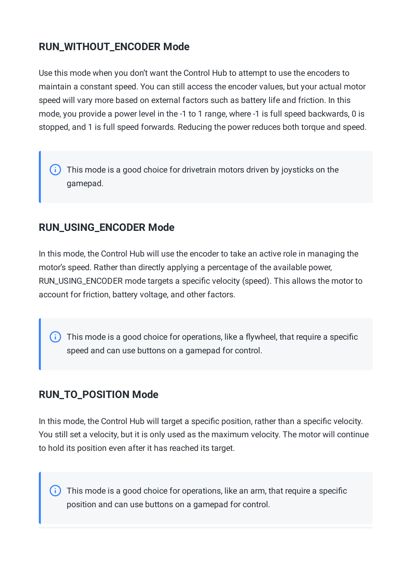### **RUN\_WITHOUT\_ENCODER Mode**

Use this mode when you don't want the Control Hub to attempt to use the encoders to maintain a constant speed. You can still access the encoder values, but your actual motor speed will vary more based on external factors such as battery life and friction. In this mode, you provide a power level in the -1 to 1 range, where -1 is full speed backwards, 0 is stopped, and 1 is full speed forwards. Reducing the power reduces both torque and speed.

This mode is a good choice for drivetrain motors driven by joysticks on the gamepad.

### **RUN\_USING\_ENCODER Mode**

In this mode, the Control Hub will use the encoder to take an active role in managing the motor's speed. Rather than directly applying a percentage of the available power, RUN\_USING\_ENCODER mode targets a specific velocity (speed). This allows the motor to account for friction, battery voltage, and other factors.

This mode is a good choice for operations, like a flywheel, that require a specific  $(i)$ speed and can use buttons on a gamepad for control.

### **RUN\_TO\_POSITION Mode**

In this mode, the Control Hub will target a specific position, rather than a specific velocity. You still set a velocity, but it is only used as the maximum velocity. The motor will continue to hold its position even after it has reached its target.

(i) This mode is a good choice for operations, like an arm, that require a specific position and can use buttons on a gamepad for control.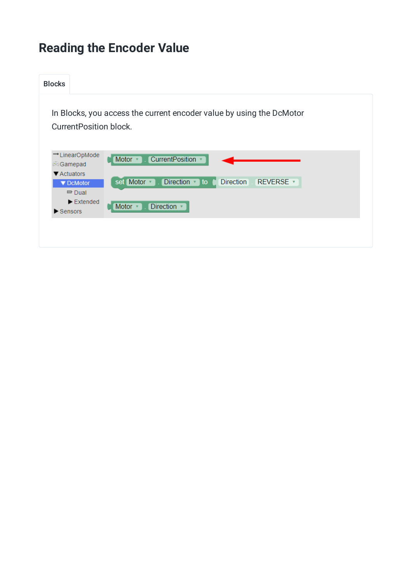# **Reading the Encoder Value**

| <b>Blocks</b>                 |                                                                                                                                                                                                                                                                                    |
|-------------------------------|------------------------------------------------------------------------------------------------------------------------------------------------------------------------------------------------------------------------------------------------------------------------------------|
|                               | In Blocks, you access the current encoder value by using the DcMotor<br>Current Position block.                                                                                                                                                                                    |
| $\blacktriangleright$ Sensors | →LinearOpMode<br><b>CurrentPosition</b><br>Motor $*$<br><b>Gamepad</b><br>▼ Actuators<br><b>Direction</b><br>REVERSE v<br><b>Direction</b><br>set Motor v<br>$\overline{v}$ to<br>▼ DcMotor<br>$\Rightarrow$ Dual<br>$\blacktriangleright$ Extended<br><b>Direction</b><br>Motor * |
|                               |                                                                                                                                                                                                                                                                                    |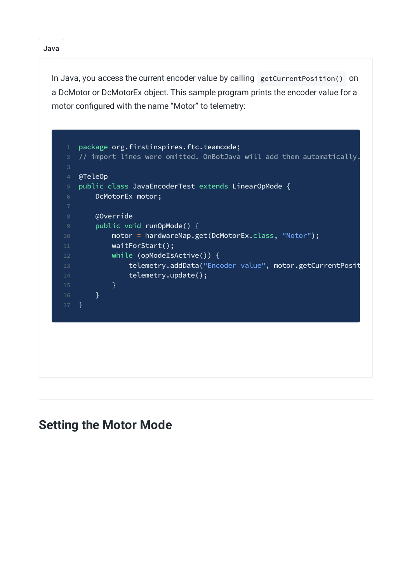Java

In Java, you access the current encoder value by calling getCurrentPosition() on a DcMotor or DcMotorEx object. This sample program prints the encoder value for a motor configured with the name "Motor" to telemetry:



### **Setting the Motor Mode**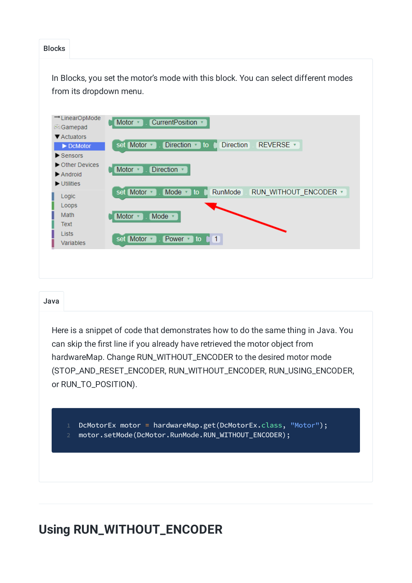### Blocks

In Blocks, you set the motor's mode with this block. You can select different modes from its dropdown menu.



#### Java

Here is a snippet of code that demonstrates how to do the same thing in Java. You can skip the first line if you already have retrieved the motor object from hardwareMap. Change RUN\_WITHOUT\_ENCODER to the desired motor mode (STOP\_AND\_RESET\_ENCODER, RUN\_WITHOUT\_ENCODER, RUN\_USING\_ENCODER, or RUN\_TO\_POSITION).

1 DcMotorEx motor = hardwareMap.get(DcMotorEx.class, "Motor"); 2 motor.setMode(DcMotor.RunMode.RUN\_WITHOUT\_ENCODER);

### **Using RUN\_WITHOUT\_ENCODER**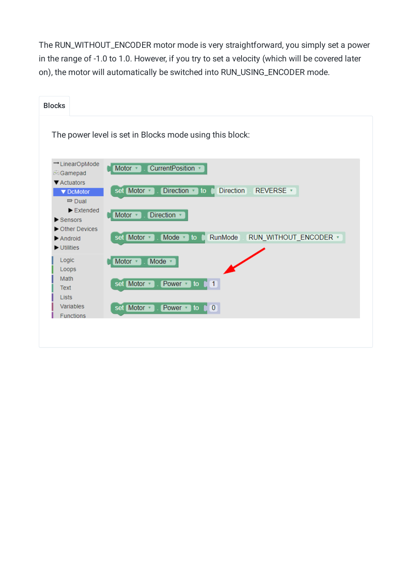The RUN\_WITHOUT\_ENCODER motor mode is very straightforward, you simply set a power in the range of -1.0 to 1.0. However, if you try to set a velocity (which will be covered later on), the motor will automatically be switched into RUN\_USING\_ENCODER mode.

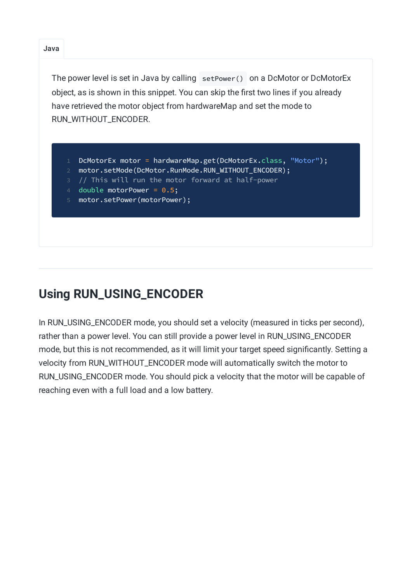The power level is set in Java by calling setPower() on a DcMotor or DcMotorEx object, as is shown in this snippet. You can skip the first two lines if you already have retrieved the motor object from hardwareMap and set the mode to RUN\_WITHOUT\_ENCODER.

- DcMotorEx motor = hardwareMap.get(DcMotorEx.class, "Motor");
- 2 motor.setMode(DcMotor.RunMode.RUN\_WITHOUT\_ENCODER);
- 3 // This will run the motor forward at half-power
- 4 double motorPower = 0.5;
- 5 motor.setPower(motorPower);

## **Using RUN\_USING\_ENCODER**

In RUN\_USING\_ENCODER mode, you should set a velocity (measured in ticks per second), rather than a power level. You can still provide a power level in RUN\_USING\_ENCODER mode, but this is not recommended, as it will limit your target speed significantly. Setting a velocity from RUN\_WITHOUT\_ENCODER mode will automatically switch the motor to RUN\_USING\_ENCODER mode. You should pick a velocity that the motor will be capable of reaching even with a full load and a low battery.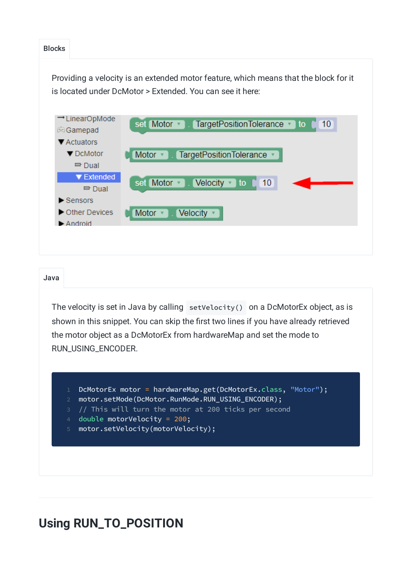#### Blocks Providing a velocity is an extended motor feature, which means that the block for it is located under DcMotor > Extended. You can see it here: -LinearOpMode set Motor v TargetPositionTolerance to  $10$ Gamepad ▼ Actuators ▼ DcMotor Motor \* TargetPositionTolerance v  $\Rightarrow$  Dual ▼ Extended set Motor v Velocity v to  $10$  $\Rightarrow$  Dual  $\blacktriangleright$  Sensors Other Devices Motor **v** Velocity v Android

### Java

The velocity is set in Java by calling setVelocity() on a DcMotorEx object, as is shown in this snippet. You can skip the first two lines if you have already retrieved the motor object as a DcMotorEx from hardwareMap and set the mode to RUN\_USING\_ENCODER.

- DcMotorEx motor = hardwareMap.get(DcMotorEx.class, "Motor");
- 2 motor.setMode(DcMotor.RunMode.RUN\_USING\_ENCODER);
- $1/$  This will turn the motor at 200 ticks per second
- double motorVelocity =  $200$ ;
- 5 motor.setVelocity(motorVelocity);

### **Using RUN\_TO\_POSITION**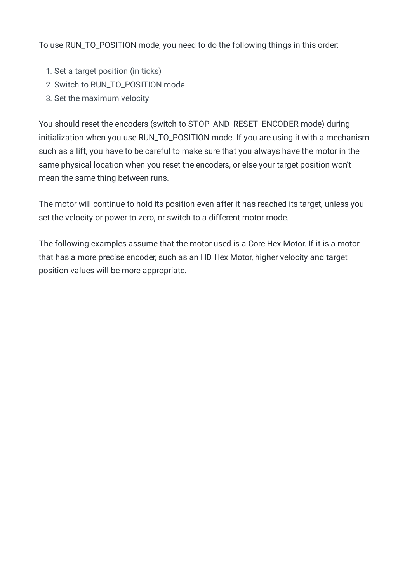To use RUN\_TO\_POSITION mode, you need to do the following things in this order:

- 1. Set a target position (in ticks)
- 2. Switch to RUN\_TO\_POSITION mode
- 3. Set the maximum velocity

You should reset the encoders (switch to STOP\_AND\_RESET\_ENCODER mode) during initialization when you use RUN\_TO\_POSITION mode. If you are using it with a mechanism such as a lift, you have to be careful to make sure that you always have the motor in the same physical location when you reset the encoders, or else your target position won't mean the same thing between runs.

The motor will continue to hold its position even after it has reached its target, unless you set the velocity or power to zero, or switch to a different motor mode.

The following examples assume that the motor used is a Core Hex Motor. If it is a motor that has a more precise encoder, such as an HD Hex Motor, higher velocity and target position values will be more appropriate.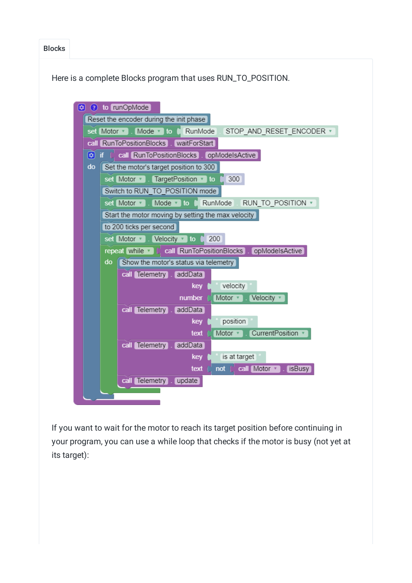Blocks

Here is a complete Blocks program that uses RUN\_TO\_POSITION.



If you want to wait for the motor to reach its target position before continuing in your program, you can use a while loop that checks if the motor is busy (not yet at its target):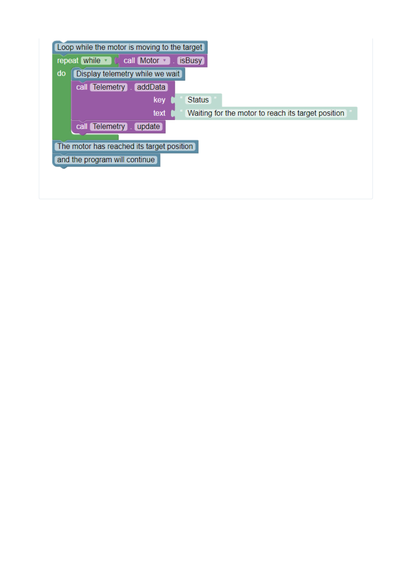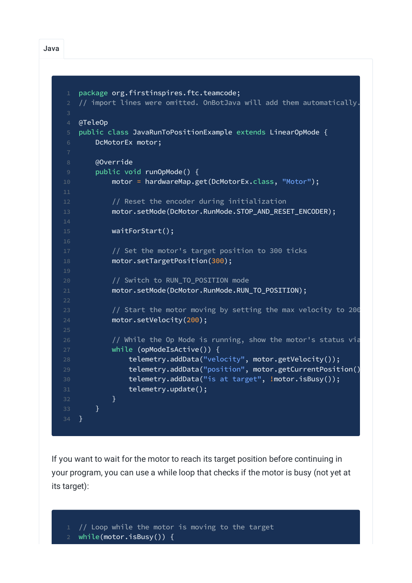```
1 package org.firstinspires.ftc.teamcode;
2 // import lines were omitted. OnBotJava will add them automatically.
4 @TeleOp
5 public class JavaRunToPositionExample extends LinearOpMode {
6 DcMotorEx motor;
8 @Override
9 public void runOpMode() {
10 motor = hardwareMap.get(DcMotorEx.class, "Motor");
12 // Reset the encoder during initialization
13 motor.setMode(DcMotor.RunMode.STOP_AND_RESET_ENCODER);
15 waitForStart();
17 // Set the motor's target position to 300 ticks
18 motor.setTargetPosition(300);
20 // Switch to RUN_TO_POSITION mode
21 motor.setMode(DcMotor.RunMode.RUN_TO_POSITION);
23 \frac{1}{2} Start the motor moving by setting the max velocity to 200
24 motor.setVelocity(200);
26 // While the Op Mode is running, show the motor's status via
27 while (opModeIsActive()) {
28 telemetry.addData("velocity", motor.getVelocity());
29 telemetry.addData("position", motor.getCurrentPosition()
30 telemetry.addData("is at target", !motor.isBusy());
31 telemetry.update();
32 }
33 }
34 }
```
If you want to wait for the motor to reach its target position before continuing in your program, you can use a while loop that checks if the motor is busy (not yet at its target):

 $1/$  Loop while the motor is moving to the target

while(motor.isBusy()) {